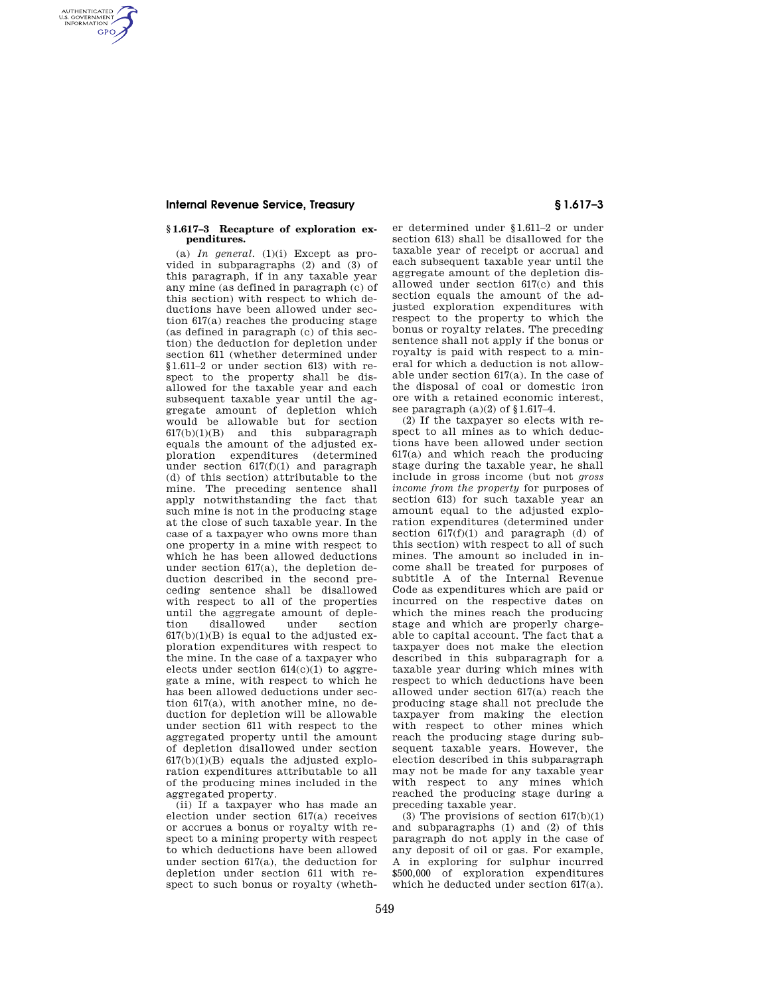## **Internal Revenue Service, Treasury § 1.617–3**

AUTHENTICATED<br>U.S. GOVERNMENT<br>INFORMATION **GPO** 

#### **§ 1.617–3 Recapture of exploration expenditures.**

(a) *In general.* (1)(i) Except as provided in subparagraphs (2) and (3) of this paragraph, if in any taxable year any mine (as defined in paragraph (c) of this section) with respect to which deductions have been allowed under section 617(a) reaches the producing stage (as defined in paragraph (c) of this section) the deduction for depletion under section 611 (whether determined under §1.611–2 or under section 613) with respect to the property shall be disallowed for the taxable year and each subsequent taxable year until the aggregate amount of depletion which would be allowable but for section 617(b)(1)(B) and this subparagraph equals the amount of the adjusted exploration expenditures (determined under section  $617(f)(1)$  and paragraph (d) of this section) attributable to the mine. The preceding sentence shall apply notwithstanding the fact that such mine is not in the producing stage at the close of such taxable year. In the case of a taxpayer who owns more than one property in a mine with respect to which he has been allowed deductions under section 617(a), the depletion deduction described in the second preceding sentence shall be disallowed with respect to all of the properties until the aggregate amount of depletion disallowed under section  $617(b)(1)(B)$  is equal to the adjusted exploration expenditures with respect to the mine. In the case of a taxpayer who elects under section  $614(c)(1)$  to aggregate a mine, with respect to which he has been allowed deductions under section 617(a), with another mine, no deduction for depletion will be allowable under section 611 with respect to the aggregated property until the amount of depletion disallowed under section  $617(b)(1)(B)$  equals the adjusted exploration expenditures attributable to all of the producing mines included in the aggregated property.

(ii) If a taxpayer who has made an election under section 617(a) receives or accrues a bonus or royalty with respect to a mining property with respect to which deductions have been allowed under section 617(a), the deduction for depletion under section 611 with respect to such bonus or royalty (wheth-

er determined under §1.611–2 or under section 613) shall be disallowed for the taxable year of receipt or accrual and each subsequent taxable year until the aggregate amount of the depletion disallowed under section 617(c) and this section equals the amount of the adjusted exploration expenditures with respect to the property to which the bonus or royalty relates. The preceding sentence shall not apply if the bonus or royalty is paid with respect to a mineral for which a deduction is not allowable under section 617(a). In the case of the disposal of coal or domestic iron ore with a retained economic interest, see paragraph  $(a)(2)$  of §1.617-4.

(2) If the taxpayer so elects with respect to all mines as to which deductions have been allowed under section 617(a) and which reach the producing stage during the taxable year, he shall include in gross income (but not *gross income from the property* for purposes of section 613) for such taxable year an amount equal to the adjusted exploration expenditures (determined under section  $617(f)(1)$  and paragraph (d) of this section) with respect to all of such mines. The amount so included in income shall be treated for purposes of subtitle A of the Internal Revenue Code as expenditures which are paid or incurred on the respective dates on which the mines reach the producing stage and which are properly chargeable to capital account. The fact that a taxpayer does not make the election described in this subparagraph for a taxable year during which mines with respect to which deductions have been allowed under section 617(a) reach the producing stage shall not preclude the taxpayer from making the election with respect to other mines which reach the producing stage during subsequent taxable years. However, the election described in this subparagraph may not be made for any taxable year with respect to any mines which reached the producing stage during a preceding taxable year.

(3) The provisions of section  $617(b)(1)$ and subparagraphs (1) and (2) of this paragraph do not apply in the case of any deposit of oil or gas. For example, A in exploring for sulphur incurred \$500,000 of exploration expenditures which he deducted under section 617(a).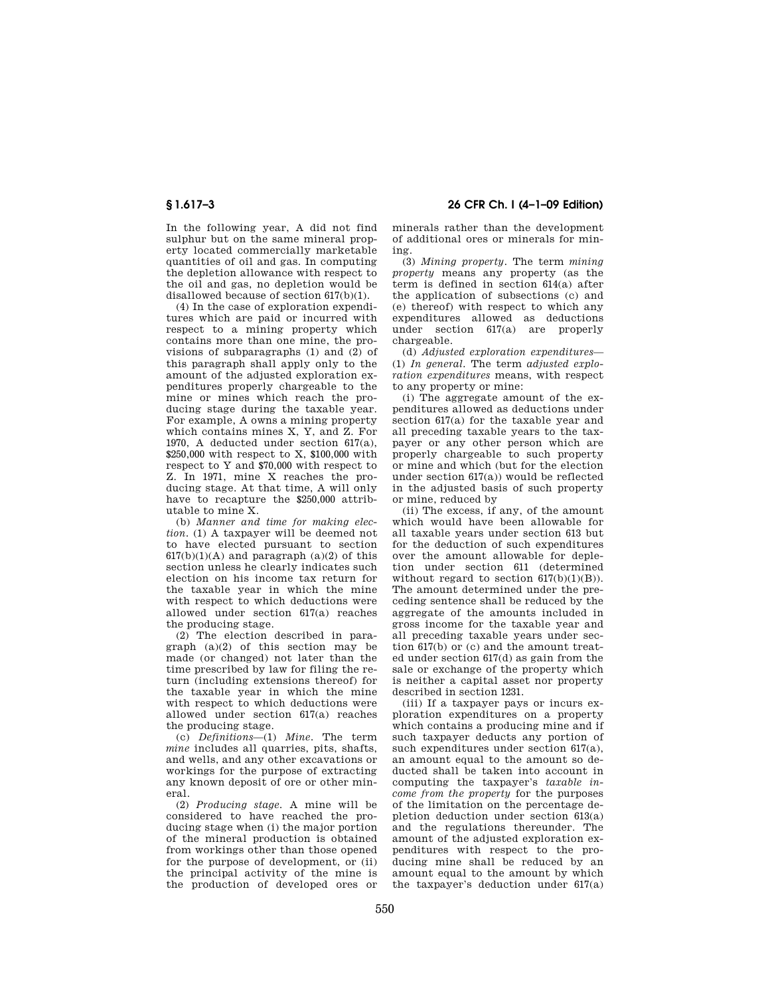In the following year, A did not find sulphur but on the same mineral property located commercially marketable quantities of oil and gas. In computing the depletion allowance with respect to the oil and gas, no depletion would be disallowed because of section 617(b)(1).

(4) In the case of exploration expenditures which are paid or incurred with respect to a mining property which contains more than one mine, the provisions of subparagraphs  $(1)$  and  $(2)$  of this paragraph shall apply only to the amount of the adjusted exploration expenditures properly chargeable to the mine or mines which reach the producing stage during the taxable year. For example, A owns a mining property which contains mines X, Y, and Z. For 1970, A deducted under section 617(a), \$250,000 with respect to X, \$100,000 with respect to Y and \$70,000 with respect to Z. In 1971, mine X reaches the producing stage. At that time, A will only have to recapture the \$250,000 attributable to mine X.

(b) *Manner and time for making election.* (1) A taxpayer will be deemed not to have elected pursuant to section  $617(b)(1)(A)$  and paragraph  $(a)(2)$  of this section unless he clearly indicates such election on his income tax return for the taxable year in which the mine with respect to which deductions were allowed under section 617(a) reaches the producing stage.

(2) The election described in paragraph (a)(2) of this section may be made (or changed) not later than the time prescribed by law for filing the return (including extensions thereof) for the taxable year in which the mine with respect to which deductions were allowed under section 617(a) reaches the producing stage.

(c) *Definitions*—(1) *Mine.* The term *mine* includes all quarries, pits, shafts, and wells, and any other excavations or workings for the purpose of extracting any known deposit of ore or other mineral.

(2) *Producing stage.* A mine will be considered to have reached the producing stage when (i) the major portion of the mineral production is obtained from workings other than those opened for the purpose of development, or (ii) the principal activity of the mine is the production of developed ores or

**§ 1.617–3 26 CFR Ch. I (4–1–09 Edition)** 

minerals rather than the development of additional ores or minerals for mining.

(3) *Mining property.* The term *mining property* means any property (as the term is defined in section 614(a) after the application of subsections (c) and (e) thereof) with respect to which any expenditures allowed as deductions under section 617(a) are properly chargeable.

(d) *Adjusted exploration expenditures*— (1) *In general.* The term *adjusted exploration expenditures* means, with respect to any property or mine:

(i) The aggregate amount of the expenditures allowed as deductions under section 617(a) for the taxable year and all preceding taxable years to the taxpayer or any other person which are properly chargeable to such property or mine and which (but for the election under section 617(a)) would be reflected in the adjusted basis of such property or mine, reduced by

(ii) The excess, if any, of the amount which would have been allowable for all taxable years under section 613 but for the deduction of such expenditures over the amount allowable for depletion under section 611 (determined without regard to section 617(b)(1)(B)). The amount determined under the preceding sentence shall be reduced by the aggregate of the amounts included in gross income for the taxable year and all preceding taxable years under section 617(b) or (c) and the amount treated under section 617(d) as gain from the sale or exchange of the property which is neither a capital asset nor property described in section 1231.

(iii) If a taxpayer pays or incurs exploration expenditures on a property which contains a producing mine and if such taxpayer deducts any portion of such expenditures under section 617(a), an amount equal to the amount so deducted shall be taken into account in computing the taxpayer's *taxable income from the property* for the purposes of the limitation on the percentage depletion deduction under section 613(a) and the regulations thereunder. The amount of the adjusted exploration expenditures with respect to the producing mine shall be reduced by an amount equal to the amount by which the taxpayer's deduction under 617(a)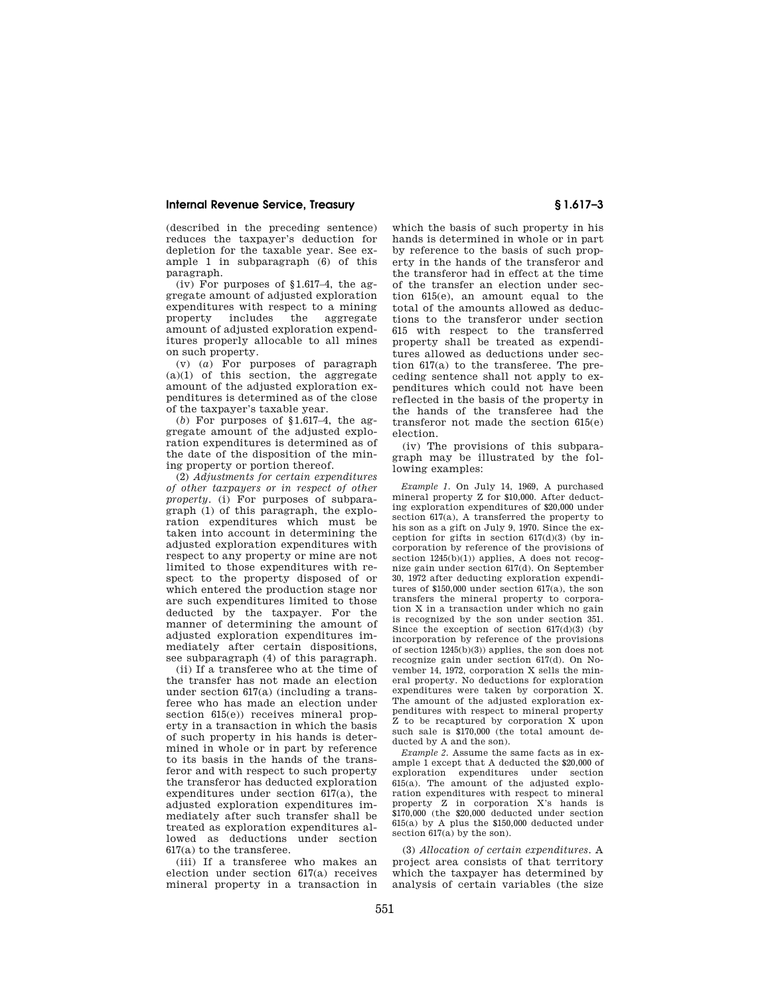### **Internal Revenue Service, Treasury § 1.617–3**

(described in the preceding sentence) reduces the taxpayer's deduction for depletion for the taxable year. See example 1 in subparagraph (6) of this paragraph.

(iv) For purposes of  $§1.617-4$ , the aggregate amount of adjusted exploration expenditures with respect to a mining property includes the aggregate amount of adjusted exploration expenditures properly allocable to all mines on such property.

(v) (*a*) For purposes of paragraph (a)(1) of this section, the aggregate amount of the adjusted exploration expenditures is determined as of the close of the taxpayer's taxable year.

(*b*) For purposes of §1.617–4, the aggregate amount of the adjusted exploration expenditures is determined as of the date of the disposition of the mining property or portion thereof.

(2) *Adjustments for certain expenditures of other taxpayers or in respect of other property.* (i) For purposes of subparagraph (1) of this paragraph, the exploration expenditures which must be taken into account in determining the adjusted exploration expenditures with respect to any property or mine are not limited to those expenditures with respect to the property disposed of or which entered the production stage nor are such expenditures limited to those deducted by the taxpayer. For the manner of determining the amount of adjusted exploration expenditures immediately after certain dispositions, see subparagraph (4) of this paragraph.

(ii) If a transferee who at the time of the transfer has not made an election under section 617(a) (including a transferee who has made an election under section  $615(e)$  receives mineral property in a transaction in which the basis of such property in his hands is determined in whole or in part by reference to its basis in the hands of the transferor and with respect to such property the transferor has deducted exploration expenditures under section 617(a), the adjusted exploration expenditures immediately after such transfer shall be treated as exploration expenditures allowed as deductions under section 617(a) to the transferee.

(iii) If a transferee who makes an election under section 617(a) receives mineral property in a transaction in

which the basis of such property in his hands is determined in whole or in part by reference to the basis of such property in the hands of the transferor and the transferor had in effect at the time of the transfer an election under section 615(e), an amount equal to the total of the amounts allowed as deductions to the transferor under section 615 with respect to the transferred property shall be treated as expenditures allowed as deductions under section 617(a) to the transferee. The preceding sentence shall not apply to expenditures which could not have been reflected in the basis of the property in the hands of the transferee had the transferor not made the section 615(e) election.

(iv) The provisions of this subparagraph may be illustrated by the following examples:

*Example 1.* On July 14, 1969, A purchased mineral property Z for \$10,000. After deducting exploration expenditures of \$20,000 under section 617(a), A transferred the property to his son as a gift on July 9, 1970. Since the exception for gifts in section  $617(d)(3)$  (by incorporation by reference of the provisions of section  $1245(b)(1)$  applies, A does not recognize gain under section 617(d). On September 30, 1972 after deducting exploration expenditures of \$150,000 under section 617(a), the son transfers the mineral property to corporation X in a transaction under which no gain is recognized by the son under section 351. Since the exception of section  $617(d)(3)$  (by incorporation by reference of the provisions of section 1245(b)(3)) applies, the son does not recognize gain under section 617(d). On November 14, 1972, corporation X sells the mineral property. No deductions for exploration expenditures were taken by corporation X. The amount of the adjusted exploration expenditures with respect to mineral property Z to be recaptured by corporation X upon such sale is \$170,000 (the total amount deducted by A and the son).

*Example 2.* Assume the same facts as in example 1 except that A deducted the \$20,000 of exploration expenditures under section 615(a). The amount of the adjusted exploration expenditures with respect to mineral property Z in corporation X's hands is \$170,000 (the \$20,000 deducted under section 615(a) by A plus the \$150,000 deducted under section 617(a) by the son).

(3) *Allocation of certain expenditures.* A project area consists of that territory which the taxpayer has determined by analysis of certain variables (the size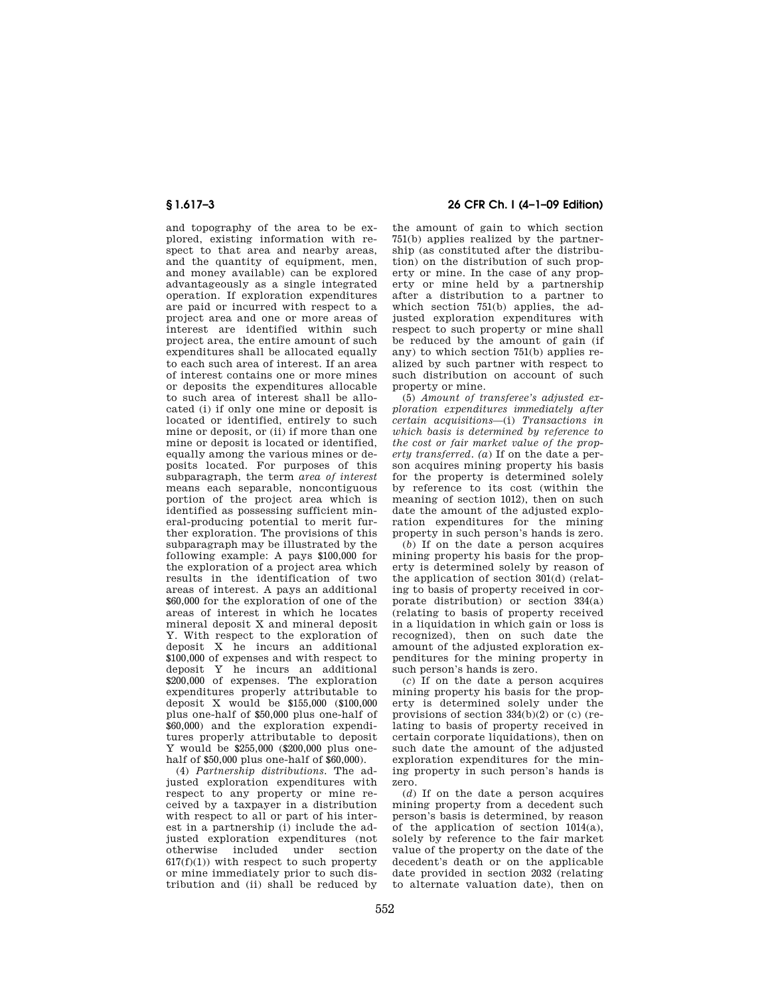and topography of the area to be explored, existing information with respect to that area and nearby areas, and the quantity of equipment, men, and money available) can be explored advantageously as a single integrated operation. If exploration expenditures are paid or incurred with respect to a project area and one or more areas of interest are identified within such project area, the entire amount of such expenditures shall be allocated equally to each such area of interest. If an area of interest contains one or more mines or deposits the expenditures allocable to such area of interest shall be allocated (i) if only one mine or deposit is located or identified, entirely to such mine or deposit, or (ii) if more than one mine or deposit is located or identified, equally among the various mines or deposits located. For purposes of this subparagraph, the term *area of interest*  means each separable, noncontiguous portion of the project area which is identified as possessing sufficient mineral-producing potential to merit further exploration. The provisions of this subparagraph may be illustrated by the following example: A pays \$100,000 for the exploration of a project area which results in the identification of two areas of interest. A pays an additional \$60,000 for the exploration of one of the areas of interest in which he locates mineral deposit X and mineral deposit Y. With respect to the exploration of deposit X he incurs an additional \$100,000 of expenses and with respect to deposit Y he incurs an additional \$200,000 of expenses. The exploration expenditures properly attributable to deposit X would be \$155,000 (\$100,000 plus one-half of \$50,000 plus one-half of \$60,000) and the exploration expenditures properly attributable to deposit Y would be \$255,000 (\$200,000 plus onehalf of \$50,000 plus one-half of \$60,000).

(4) *Partnership distributions.* The adjusted exploration expenditures with respect to any property or mine received by a taxpayer in a distribution with respect to all or part of his interest in a partnership (i) include the adjusted exploration expenditures (not otherwise included under  $617(f)(1)$ ) with respect to such property or mine immediately prior to such distribution and (ii) shall be reduced by

# **§ 1.617–3 26 CFR Ch. I (4–1–09 Edition)**

the amount of gain to which section 751(b) applies realized by the partnership (as constituted after the distribution) on the distribution of such property or mine. In the case of any property or mine held by a partnership after a distribution to a partner to which section 751(b) applies, the adjusted exploration expenditures with respect to such property or mine shall be reduced by the amount of gain (if any) to which section 751(b) applies realized by such partner with respect to such distribution on account of such property or mine.

(5) *Amount of transferee's adjusted exploration expenditures immediately after certain acquisitions*—(i) *Transactions in which basis is determined by reference to the cost or fair market value of the property transferred. (a*) If on the date a person acquires mining property his basis for the property is determined solely by reference to its cost (within the meaning of section 1012), then on such date the amount of the adjusted exploration expenditures for the mining property in such person's hands is zero.

(*b*) If on the date a person acquires mining property his basis for the property is determined solely by reason of the application of section 301(d) (relating to basis of property received in corporate distribution) or section 334(a) (relating to basis of property received in a liquidation in which gain or loss is recognized), then on such date the amount of the adjusted exploration expenditures for the mining property in such person's hands is zero.

(*c*) If on the date a person acquires mining property his basis for the property is determined solely under the provisions of section 334(b)(2) or (c) (relating to basis of property received in certain corporate liquidations), then on such date the amount of the adjusted exploration expenditures for the mining property in such person's hands is zero.

(*d*) If on the date a person acquires mining property from a decedent such person's basis is determined, by reason of the application of section 1014(a), solely by reference to the fair market value of the property on the date of the decedent's death or on the applicable date provided in section 2032 (relating to alternate valuation date), then on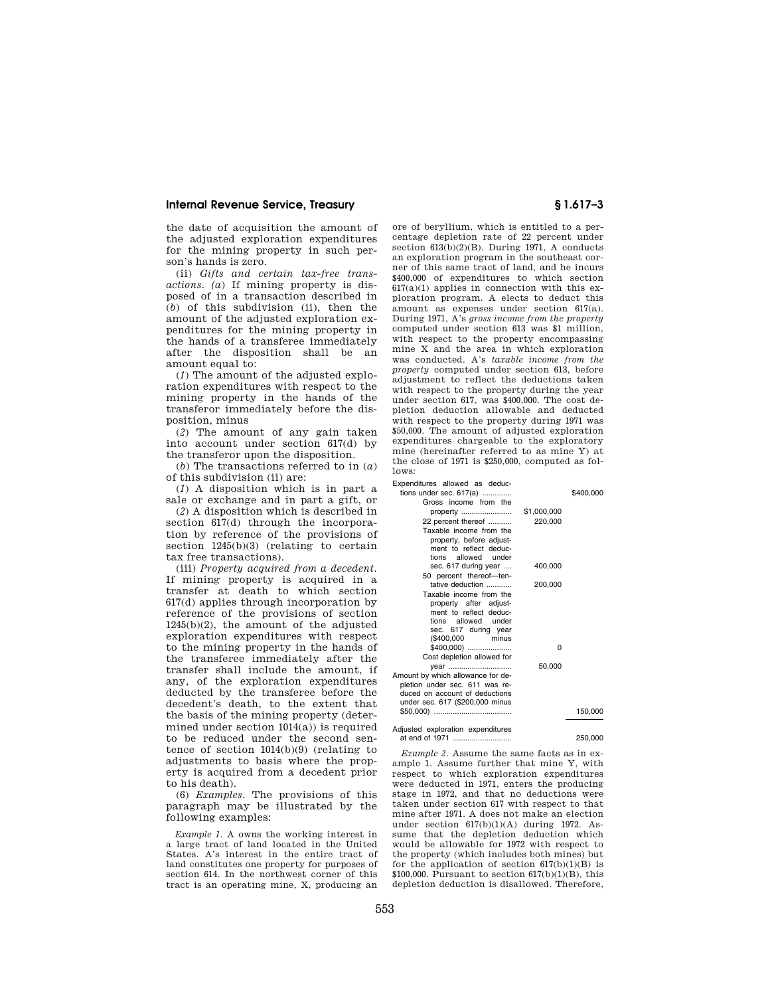### **Internal Revenue Service, Treasury § 1.617–3**

the date of acquisition the amount of the adjusted exploration expenditures for the mining property in such person's hands is zero.

(ii) *Gifts and certain tax-free transactions. (a*) If mining property is disposed of in a transaction described in (*b*) of this subdivision (ii), then the amount of the adjusted exploration expenditures for the mining property in the hands of a transferee immediately after the disposition shall be an amount equal to:

(*1*) The amount of the adjusted exploration expenditures with respect to the mining property in the hands of the transferor immediately before the disposition, minus

(*2*) The amount of any gain taken into account under section 617(d) by the transferor upon the disposition.

(*b*) The transactions referred to in (*a*) of this subdivision (ii) are:

(*1*) A disposition which is in part a sale or exchange and in part a gift, or

(*2*) A disposition which is described in section 617(d) through the incorporation by reference of the provisions of section 1245(b)(3) (relating to certain tax free transactions).

(iii) *Property acquired from a decedent.*  If mining property is acquired in a transfer at death to which section 617(d) applies through incorporation by reference of the provisions of section 1245(b)(2), the amount of the adjusted exploration expenditures with respect to the mining property in the hands of the transferee immediately after the transfer shall include the amount, if any, of the exploration expenditures deducted by the transferee before the decedent's death, to the extent that the basis of the mining property (determined under section  $1014(a)$ ) is required to be reduced under the second sentence of section 1014(b)(9) (relating to adjustments to basis where the property is acquired from a decedent prior to his death).

(6) *Examples.* The provisions of this paragraph may be illustrated by the following examples:

*Example 1.* A owns the working interest in a large tract of land located in the United States. A's interest in the entire tract of land constitutes one property for purposes of section 614. In the northwest corner of this tract is an operating mine, X, producing an ore of beryllium, which is entitled to a percentage depletion rate of 22 percent under section 613(b)(2)(B). During 1971, A conducts an exploration program in the southeast corner of this same tract of land, and he incurs \$400,000 of expenditures to which section 617(a)(1) applies in connection with this exploration program. A elects to deduct this amount as expenses under section 617(a). During 1971, A's *gross income from the property*  computed under section 613 was \$1 million, with respect to the property encompassing mine X and the area in which exploration was conducted. A's *taxable income from the property* computed under section 613, before adjustment to reflect the deductions taken with respect to the property during the year under section 617, was \$400,000. The cost depletion deduction allowable and deducted with respect to the property during 1971 was \$50,000. The amount of adjusted exploration expenditures chargeable to the exploratory mine (hereinafter referred to as mine Y) at the close of 1971 is \$250,000, computed as follows:

Expenditures allowed as deductions under sec. 617(a) .............. \$400,000 Gross income from the property ........................ \$1,000,000 22 percent thereof ........... 220,000 Taxable income from the property, before adjustment to reflect deduc-<br>tions allowed under allowed sec. 617 during year .... 400,000 50 percent thereof—tentative deduction ............ 200,000 Taxable income from the property after adjustment to reflect deduc-<br>tions allowed under tions allowed sec. 617 during year (\$400,000 minus \$400,000) ..................... 0 Cost depletion allowed for year .............................. 50,000 Amount by which allowance for depletion under sec. 611 was reduced on account of deductions under sec. 617 (\$200,000 minus \$50,000) ..................................... 150,000

Adjusted exploration expenditures at end of 1971 ............................ 250,000

*Example 2.* Assume the same facts as in example 1. Assume further that mine Y, with respect to which exploration expenditures were deducted in 1971, enters the producing stage in 1972, and that no deductions were taken under section 617 with respect to that mine after 1971. A does not make an election under section 617(b)(1)(A) during 1972. Assume that the depletion deduction which would be allowable for 1972 with respect to the property (which includes both mines) but for the application of section  $617(b)(1)(B)$  is \$100,000. Pursuant to section  $617(b)(1)(B)$ , this depletion deduction is disallowed. Therefore,